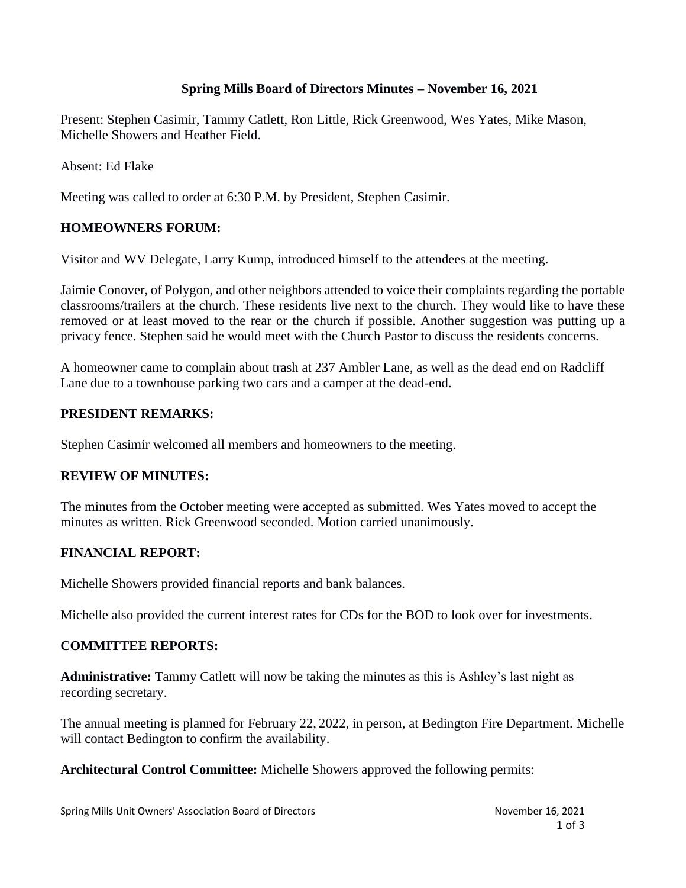# **Spring Mills Board of Directors Minutes – November 16, 2021**

Present: Stephen Casimir, Tammy Catlett, Ron Little, Rick Greenwood, Wes Yates, Mike Mason, Michelle Showers and Heather Field.

Absent: Ed Flake

Meeting was called to order at 6:30 P.M. by President, Stephen Casimir.

# **HOMEOWNERS FORUM:**

Visitor and WV Delegate, Larry Kump, introduced himself to the attendees at the meeting.

Jaimie Conover, of Polygon, and other neighbors attended to voice their complaints regarding the portable classrooms/trailers at the church. These residents live next to the church. They would like to have these removed or at least moved to the rear or the church if possible. Another suggestion was putting up a privacy fence. Stephen said he would meet with the Church Pastor to discuss the residents concerns.

A homeowner came to complain about trash at 237 Ambler Lane, as well as the dead end on Radcliff Lane due to a townhouse parking two cars and a camper at the dead-end.

## **PRESIDENT REMARKS:**

Stephen Casimir welcomed all members and homeowners to the meeting.

## **REVIEW OF MINUTES:**

The minutes from the October meeting were accepted as submitted. Wes Yates moved to accept the minutes as written. Rick Greenwood seconded. Motion carried unanimously.

## **FINANCIAL REPORT:**

Michelle Showers provided financial reports and bank balances.

Michelle also provided the current interest rates for CDs for the BOD to look over for investments.

#### **COMMITTEE REPORTS:**

**Administrative:** Tammy Catlett will now be taking the minutes as this is Ashley's last night as recording secretary.

The annual meeting is planned for February 22, 2022, in person, at Bedington Fire Department. Michelle will contact Bedington to confirm the availability.

**Architectural Control Committee:** Michelle Showers approved the following permits: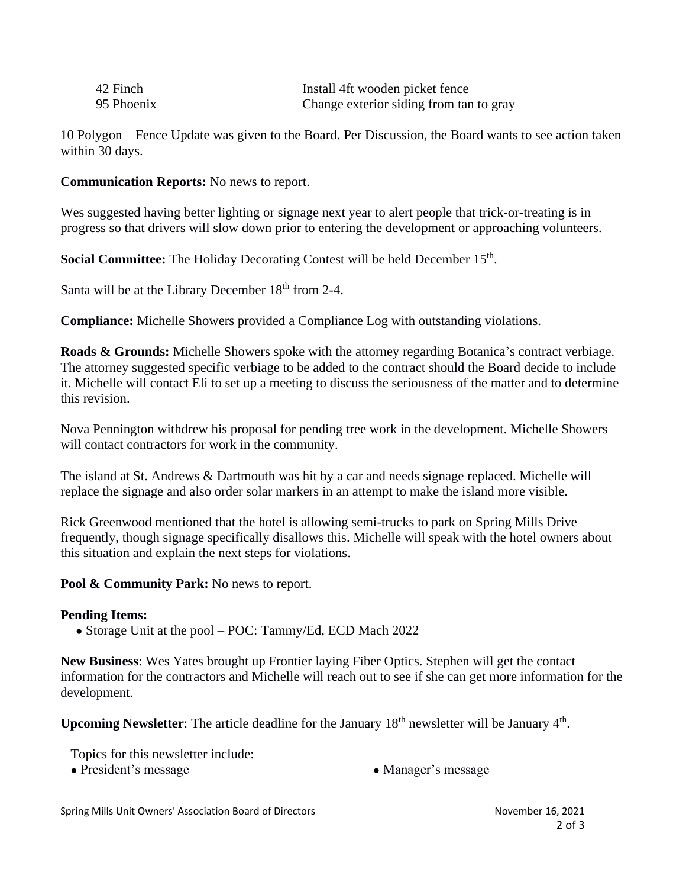| 42 Finch   | Install 4ft wooden picket fence         |
|------------|-----------------------------------------|
| 95 Phoenix | Change exterior siding from tan to gray |

10 Polygon – Fence Update was given to the Board. Per Discussion, the Board wants to see action taken within 30 days.

**Communication Reports:** No news to report.

Wes suggested having better lighting or signage next year to alert people that trick-or-treating is in progress so that drivers will slow down prior to entering the development or approaching volunteers.

**Social Committee:** The Holiday Decorating Contest will be held December 15<sup>th</sup>.

Santa will be at the Library December  $18<sup>th</sup>$  from 2-4.

**Compliance:** Michelle Showers provided a Compliance Log with outstanding violations.

**Roads & Grounds:** Michelle Showers spoke with the attorney regarding Botanica's contract verbiage. The attorney suggested specific verbiage to be added to the contract should the Board decide to include it. Michelle will contact Eli to set up a meeting to discuss the seriousness of the matter and to determine this revision.

Nova Pennington withdrew his proposal for pending tree work in the development. Michelle Showers will contact contractors for work in the community.

The island at St. Andrews & Dartmouth was hit by a car and needs signage replaced. Michelle will replace the signage and also order solar markers in an attempt to make the island more visible.

Rick Greenwood mentioned that the hotel is allowing semi-trucks to park on Spring Mills Drive frequently, though signage specifically disallows this. Michelle will speak with the hotel owners about this situation and explain the next steps for violations.

**Pool & Community Park:** No news to report.

#### **Pending Items:**

• Storage Unit at the pool – POC: Tammy/Ed, ECD Mach 2022

**New Business**: Wes Yates brought up Frontier laying Fiber Optics. Stephen will get the contact information for the contractors and Michelle will reach out to see if she can get more information for the development.

Upcoming Newsletter: The article deadline for the January 18<sup>th</sup> newsletter will be January 4<sup>th</sup>.

Topics for this newsletter include:

- President's message <br>• Manager's message
	-